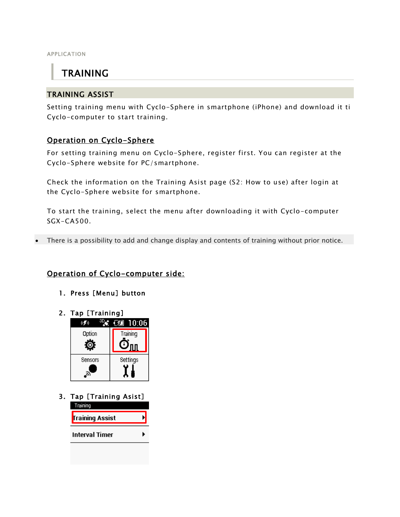APPLICATION

# TRAINING

### TRAINING ASSIST

Setting training menu with Cyclo-Sphere in smartphone (iPhone) and download it ti Cyclo-computer to start training.

## Operation on Cyclo-Sphere

For setting training menu on Cyclo-Sphere, register first. You can register at the Cyclo-Sphere website for PC/smartphone.

Check the information on the Training Asist page (S2: How to use) after login at the Cyclo-Sphere website for smartphone.

To start the training, select the menu after downloading it with Cyclo-computer SGX-CA500.

There is a possibility to add and change display and contents of training without prior notice.

## Operation of Cyclo-computer side:

- 1. Press [Menu] button
- 2. Tap [Training]



3. Tap [Training Asist] Training **Training Assist Interval Timer**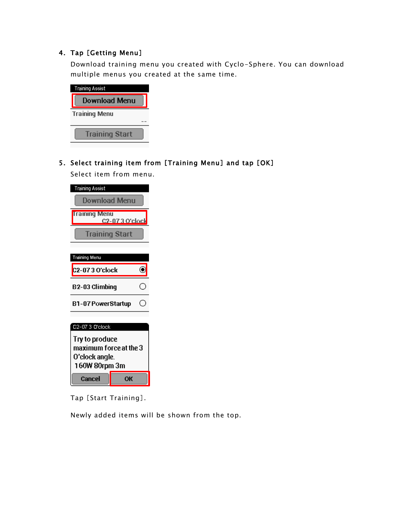#### 4. Tap [Getting Menu]

Download training menu you created with Cyclo-Sphere. You can download multiple menus you created at the same time.

| Training Assist       |  |
|-----------------------|--|
| Download Menu         |  |
| <b>Training Menu</b>  |  |
|                       |  |
| <b>Training Start</b> |  |

5. Select training item from [Training Menu] and tap [OK]

Select item from menu.

| <b>Training Assist</b>                                                      |    |  |  |  |
|-----------------------------------------------------------------------------|----|--|--|--|
| Download Menu                                                               |    |  |  |  |
| <b>Training Menu</b><br><b>C2-073 O'clock</b>                               |    |  |  |  |
| <b>Training Start</b>                                                       |    |  |  |  |
|                                                                             |    |  |  |  |
| Training Menu                                                               |    |  |  |  |
| C2-073 O'clock                                                              |    |  |  |  |
| B2-03 Climbinq                                                              |    |  |  |  |
| B1-07 PowerStartup                                                          |    |  |  |  |
|                                                                             |    |  |  |  |
| C2-07 3 O'clock                                                             |    |  |  |  |
| Try to produce<br>maximum force at the 3<br>O'clock angle.<br>160W 80rpm 3m |    |  |  |  |
| Cancel                                                                      | OК |  |  |  |

Tap [Start Training].

Newly added items will be shown from the top.